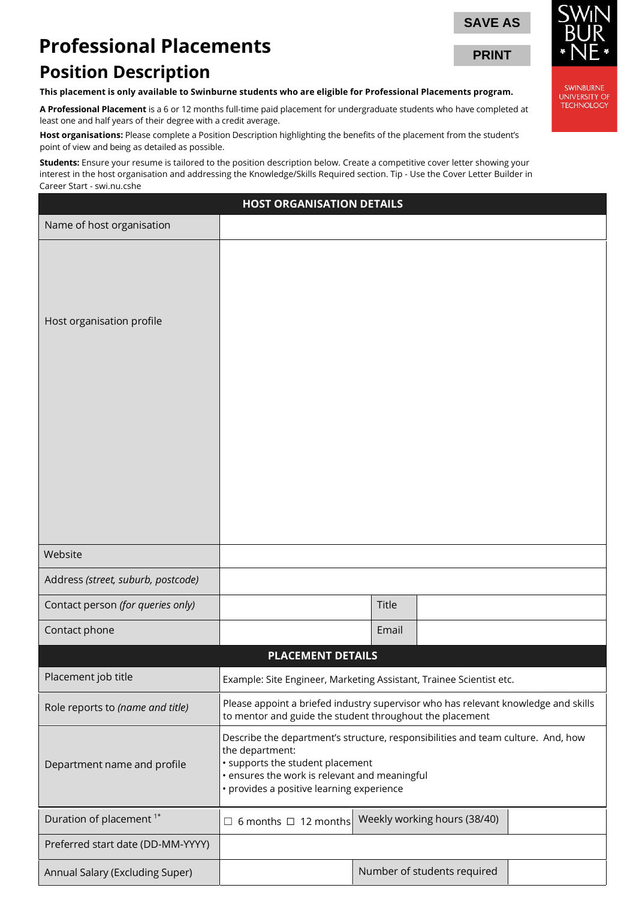# **Professional Placements**

## **Position Description**

| <b>Professional Placements</b><br><b>PRINT</b>                                                                                                                                            |                                                                                    |  |  |  |  |
|-------------------------------------------------------------------------------------------------------------------------------------------------------------------------------------------|------------------------------------------------------------------------------------|--|--|--|--|
|                                                                                                                                                                                           |                                                                                    |  |  |  |  |
| <b>Position Description</b>                                                                                                                                                               |                                                                                    |  |  |  |  |
| This placement is only available to Swinburne students who are eligible for Professional Placements program.                                                                              | <b>SWINBURNE</b><br>UNIVERSITY OF                                                  |  |  |  |  |
| A Professional Placement is a 6 or 12 months full-time paid placement for undergraduate students who have completed at<br>least one and half years of their degree with a credit average. | <b>TECHNOLOGY</b>                                                                  |  |  |  |  |
| Host organisations: Please complete a Position Description highlighting the benefits of the placement from the student's<br>point of view and being as detailed as possible.              |                                                                                    |  |  |  |  |
| Students: Ensure your resume is tailored to the position description below. Create a competitive cover letter showing your                                                                |                                                                                    |  |  |  |  |
| interest in the host organisation and addressing the Knowledge/Skills Required section. Tip - Use the Cover Letter Builder in<br>Career Start - swi.nu.cshe                               |                                                                                    |  |  |  |  |
| <b>HOST ORGANISATION DETAILS</b>                                                                                                                                                          |                                                                                    |  |  |  |  |
| Name of host organisation                                                                                                                                                                 |                                                                                    |  |  |  |  |
|                                                                                                                                                                                           |                                                                                    |  |  |  |  |
|                                                                                                                                                                                           |                                                                                    |  |  |  |  |
|                                                                                                                                                                                           |                                                                                    |  |  |  |  |
| Host organisation profile                                                                                                                                                                 |                                                                                    |  |  |  |  |
|                                                                                                                                                                                           |                                                                                    |  |  |  |  |
|                                                                                                                                                                                           |                                                                                    |  |  |  |  |
|                                                                                                                                                                                           |                                                                                    |  |  |  |  |
|                                                                                                                                                                                           |                                                                                    |  |  |  |  |
|                                                                                                                                                                                           |                                                                                    |  |  |  |  |
|                                                                                                                                                                                           |                                                                                    |  |  |  |  |
|                                                                                                                                                                                           |                                                                                    |  |  |  |  |
|                                                                                                                                                                                           |                                                                                    |  |  |  |  |
|                                                                                                                                                                                           |                                                                                    |  |  |  |  |
| Website                                                                                                                                                                                   |                                                                                    |  |  |  |  |
| Address (street, suburb, postcode)                                                                                                                                                        |                                                                                    |  |  |  |  |
| Contact person (for queries only)<br>Title                                                                                                                                                |                                                                                    |  |  |  |  |
| Contact phone<br>Email                                                                                                                                                                    |                                                                                    |  |  |  |  |
| <b>PLACEMENT DETAILS</b>                                                                                                                                                                  |                                                                                    |  |  |  |  |
| Placement job title                                                                                                                                                                       | Example: Site Engineer, Marketing Assistant, Trainee Scientist etc.                |  |  |  |  |
| Role reports to (name and title)<br>to mentor and guide the student throughout the placement                                                                                              | Please appoint a briefed industry supervisor who has relevant knowledge and skills |  |  |  |  |
| Describe the department's structure, responsibilities and team culture. And, how<br>the department:                                                                                       |                                                                                    |  |  |  |  |
| Department name and profile<br>· ensures the work is relevant and meaningful<br>· provides a positive learning experience                                                                 | · supports the student placement                                                   |  |  |  |  |
| Duration of placement <sup>1*</sup><br>Weekly working hours (38/40)<br>$\Box$ 6 months $\Box$ 12 months                                                                                   |                                                                                    |  |  |  |  |
| Preferred start date (DD-MM-YYYY)                                                                                                                                                         |                                                                                    |  |  |  |  |
| Number of students required<br>Annual Salary (Excluding Super)                                                                                                                            |                                                                                    |  |  |  |  |

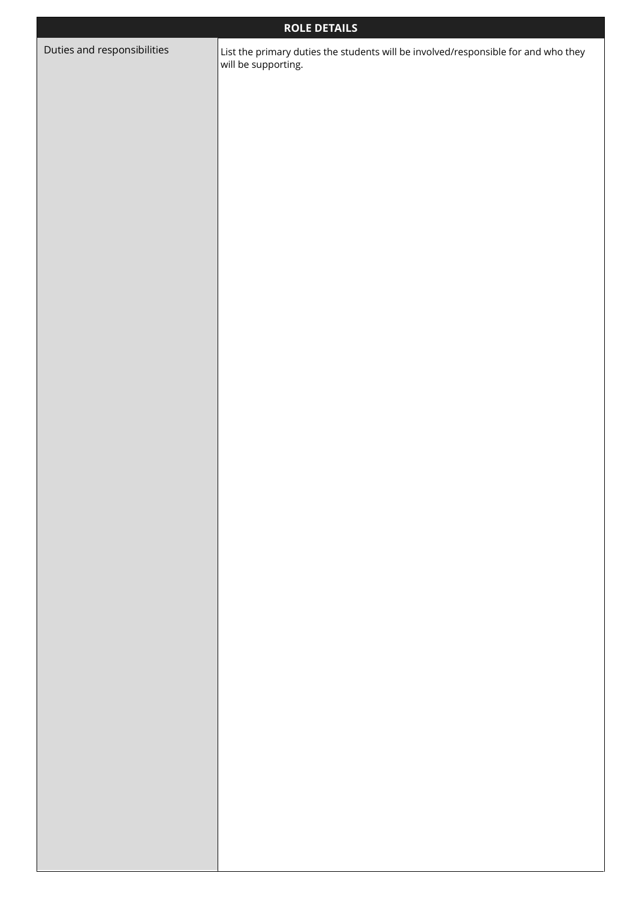| <b>ROLE DETAILS</b>         |                                                                                                           |  |  |  |
|-----------------------------|-----------------------------------------------------------------------------------------------------------|--|--|--|
| Duties and responsibilities | List the primary duties the students will be involved/responsible for and who they<br>will be supporting. |  |  |  |
|                             |                                                                                                           |  |  |  |
|                             |                                                                                                           |  |  |  |
|                             |                                                                                                           |  |  |  |
|                             |                                                                                                           |  |  |  |
|                             |                                                                                                           |  |  |  |
|                             |                                                                                                           |  |  |  |
|                             |                                                                                                           |  |  |  |
|                             |                                                                                                           |  |  |  |
|                             |                                                                                                           |  |  |  |
|                             |                                                                                                           |  |  |  |
|                             |                                                                                                           |  |  |  |
|                             |                                                                                                           |  |  |  |
|                             |                                                                                                           |  |  |  |
|                             |                                                                                                           |  |  |  |
|                             |                                                                                                           |  |  |  |
|                             |                                                                                                           |  |  |  |
|                             |                                                                                                           |  |  |  |
|                             |                                                                                                           |  |  |  |
|                             |                                                                                                           |  |  |  |
|                             |                                                                                                           |  |  |  |
|                             |                                                                                                           |  |  |  |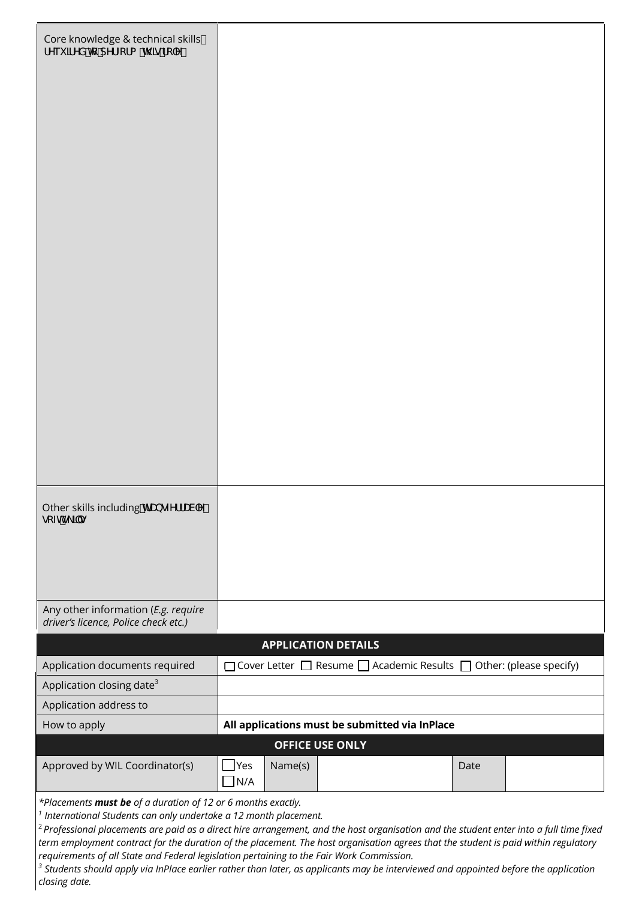| Core knowledge & technical skills<br>fYei JfYX hc dYfZcfa h\]gfc`Y                                                                                                                                                                                                                                                                                                                                                                                                                                                            |                          |                            |  |                                                                                          |      |  |
|-------------------------------------------------------------------------------------------------------------------------------------------------------------------------------------------------------------------------------------------------------------------------------------------------------------------------------------------------------------------------------------------------------------------------------------------------------------------------------------------------------------------------------|--------------------------|----------------------------|--|------------------------------------------------------------------------------------------|------|--|
|                                                                                                                                                                                                                                                                                                                                                                                                                                                                                                                               |                          |                            |  |                                                                                          |      |  |
| Other skills including If UbgZYffUV Y#<br>gcZhig_]`g                                                                                                                                                                                                                                                                                                                                                                                                                                                                          |                          |                            |  |                                                                                          |      |  |
| Any other information (E.g. require<br>driver's licence, Police check etc.)                                                                                                                                                                                                                                                                                                                                                                                                                                                   |                          |                            |  |                                                                                          |      |  |
|                                                                                                                                                                                                                                                                                                                                                                                                                                                                                                                               |                          | <b>APPLICATION DETAILS</b> |  |                                                                                          |      |  |
| Application documents required                                                                                                                                                                                                                                                                                                                                                                                                                                                                                                |                          |                            |  | $\Box$ Cover Letter $\Box$ Resume $\Box$ Academic Results $\Box$ Other: (please specify) |      |  |
| Application closing date <sup>3</sup>                                                                                                                                                                                                                                                                                                                                                                                                                                                                                         |                          |                            |  |                                                                                          |      |  |
| Application address to                                                                                                                                                                                                                                                                                                                                                                                                                                                                                                        |                          |                            |  |                                                                                          |      |  |
| How to apply                                                                                                                                                                                                                                                                                                                                                                                                                                                                                                                  |                          |                            |  | All applications must be submitted via InPlace                                           |      |  |
| <b>OFFICE USE ONLY</b>                                                                                                                                                                                                                                                                                                                                                                                                                                                                                                        |                          |                            |  |                                                                                          |      |  |
| Approved by WIL Coordinator(s)                                                                                                                                                                                                                                                                                                                                                                                                                                                                                                | $\Box$ Yes<br>$\n  1N/A$ | Name(s)                    |  |                                                                                          | Date |  |
| *Placements must be of a duration of 12 or 6 months exactly.<br>$1$ International Students can only undertake a 12 month placement.<br><sup>2</sup> Professional placements are paid as a direct hire arrangement, and the host organisation and the student enter into a full time fixed<br>term employment contract for the duration of the placement. The host organisation agrees that the student is paid within regulatory<br>requirements of all State and Federal legislation pertaining to the Fair Work Commission. |                          |                            |  |                                                                                          |      |  |

*<sup>3</sup> Students should apply via InPlace earlier rather than later, as applicants may be interviewed and appointed before the application closing date.*